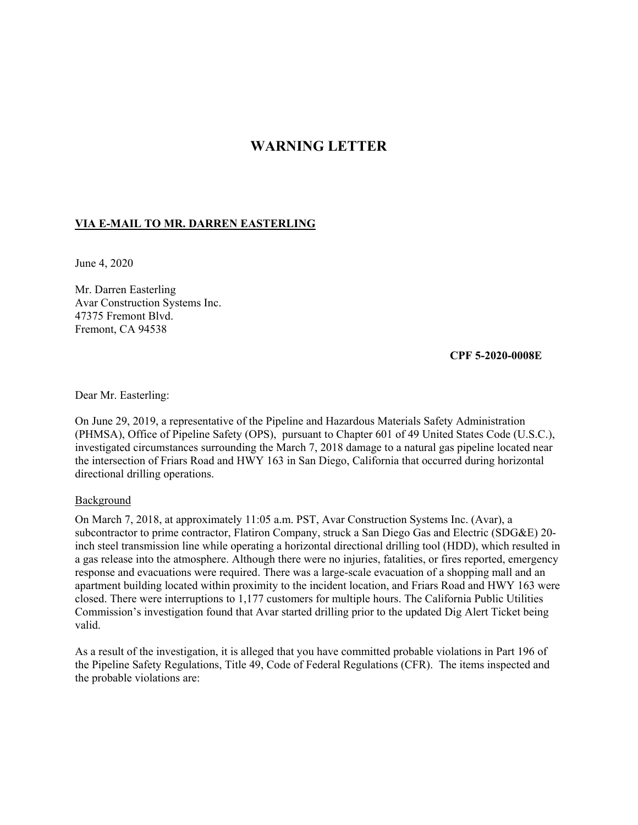# **WARNING LETTER**

## **VIA E-MAIL TO MR. DARREN EASTERLING**

June 4, 2020

Mr. Darren Easterling Avar Construction Systems Inc. 47375 Fremont Blvd. Fremont, CA 94538

 **CPF 5-2020-0008E** 

Dear Mr. Easterling:

On June 29, 2019, a representative of the Pipeline and Hazardous Materials Safety Administration (PHMSA), Office of Pipeline Safety (OPS), pursuant to Chapter 601 of 49 United States Code (U.S.C.), investigated circumstances surrounding the March 7, 2018 damage to a natural gas pipeline located near the intersection of Friars Road and HWY 163 in San Diego, California that occurred during horizontal directional drilling operations.

#### Background

On March 7, 2018, at approximately 11:05 a.m. PST, Avar Construction Systems Inc. (Avar), a subcontractor to prime contractor, Flatiron Company, struck a San Diego Gas and Electric (SDG&E) 20 inch steel transmission line while operating a horizontal directional drilling tool (HDD), which resulted in a gas release into the atmosphere. Although there were no injuries, fatalities, or fires reported, emergency response and evacuations were required. There was a large-scale evacuation of a shopping mall and an apartment building located within proximity to the incident location, and Friars Road and HWY 163 were closed. There were interruptions to 1,177 customers for multiple hours. The California Public Utilities Commission's investigation found that Avar started drilling prior to the updated Dig Alert Ticket being valid.

As a result of the investigation, it is alleged that you have committed probable violations in Part 196 of the Pipeline Safety Regulations, Title 49, Code of Federal Regulations (CFR). The items inspected and the probable violations are: